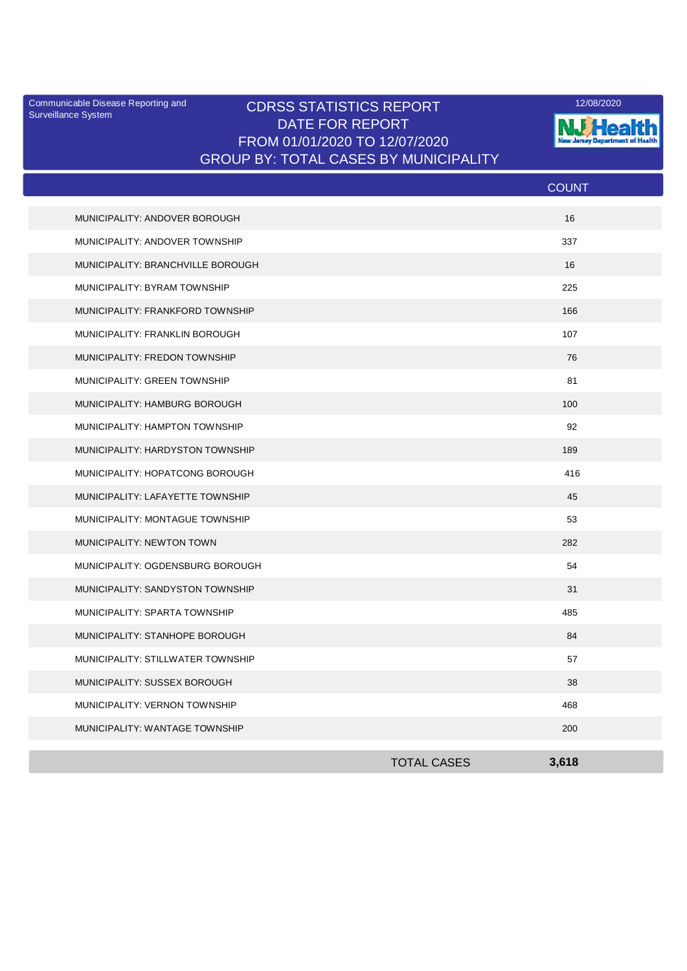Surveillance System

## Communicable Disease Reporting and **CDRSS STATISTICS REPORT** 12/08/2020<br>Curreillance Statem DATE FOR REPORT FROM 01/01/2020 TO 12/07/2020 GROUP BY: TOTAL CASES BY MUNICIPALITY



|                                   |                    | <b>COUNT</b> |
|-----------------------------------|--------------------|--------------|
| MUNICIPALITY: ANDOVER BOROUGH     |                    | 16           |
| MUNICIPALITY: ANDOVER TOWNSHIP    |                    | 337          |
| MUNICIPALITY: BRANCHVILLE BOROUGH |                    | 16           |
| MUNICIPALITY: BYRAM TOWNSHIP      |                    | 225          |
| MUNICIPALITY: FRANKFORD TOWNSHIP  |                    | 166          |
| MUNICIPALITY: FRANKLIN BOROUGH    |                    | 107          |
| MUNICIPALITY: FREDON TOWNSHIP     |                    | 76           |
| MUNICIPALITY: GREEN TOWNSHIP      |                    | 81           |
| MUNICIPALITY: HAMBURG BOROUGH     |                    | 100          |
| MUNICIPALITY: HAMPTON TOWNSHIP    |                    | 92           |
| MUNICIPALITY: HARDYSTON TOWNSHIP  |                    | 189          |
| MUNICIPALITY: HOPATCONG BOROUGH   |                    | 416          |
| MUNICIPALITY: LAFAYETTE TOWNSHIP  |                    | 45           |
| MUNICIPALITY: MONTAGUE TOWNSHIP   |                    | 53           |
| MUNICIPALITY: NEWTON TOWN         |                    | 282          |
| MUNICIPALITY: OGDENSBURG BOROUGH  |                    | 54           |
| MUNICIPALITY: SANDYSTON TOWNSHIP  |                    | 31           |
| MUNICIPALITY: SPARTA TOWNSHIP     |                    | 485          |
| MUNICIPALITY: STANHOPE BOROUGH    |                    | 84           |
| MUNICIPALITY: STILLWATER TOWNSHIP |                    | 57           |
| MUNICIPALITY: SUSSEX BOROUGH      |                    | 38           |
| MUNICIPALITY: VERNON TOWNSHIP     |                    | 468          |
| MUNICIPALITY: WANTAGE TOWNSHIP    |                    | 200          |
|                                   | <b>TOTAL CASES</b> | 3,618        |
|                                   |                    |              |